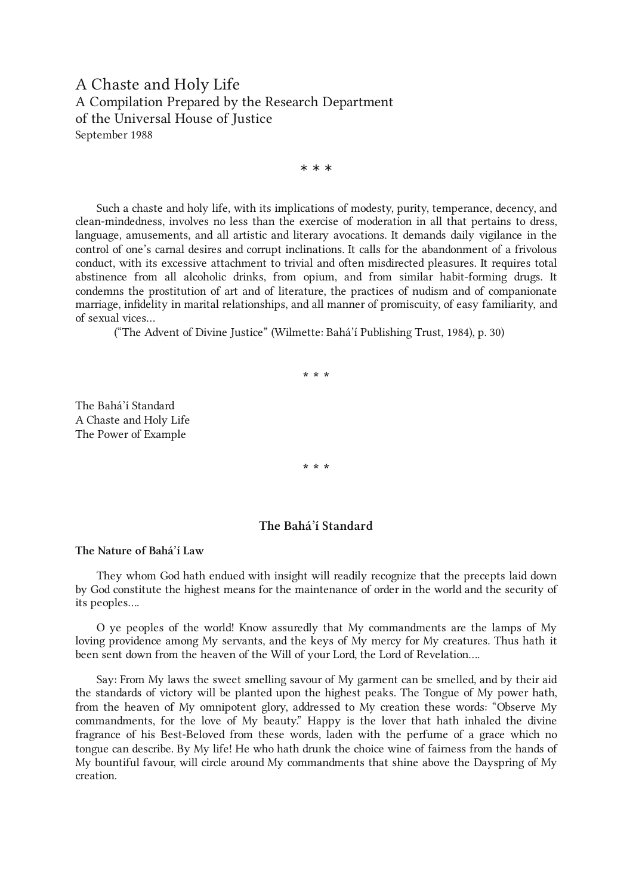# A Chaste and Holy Life A Compilation Prepared by the Research Department of the Universal House of Justice September 1988

\* \* \*

Such a chaste and holy life, with its implications of modesty, purity, temperance, decency, and clean-mindedness, involves no less than the exercise of moderation in all that pertains to dress, language, amusements, and all artistic and literary avocations. It demands daily vigilance in the control of one's carnal desires and corrupt inclinations. It calls for the abandonment of a frivolous conduct, with its excessive attachment to trivial and often misdirected pleasures. It requires total abstinence from all alcoholic drinks, from opium, and from similar habit-forming drugs. It condemns the prostitution of art and of literature, the practices of nudism and of companionate marriage, infidelity in marital relationships, and all manner of promiscuity, of easy familiarity, and of sexual vices...

("The Advent of Divine Justice" (Wilmette: Bahá'í Publishing Trust, 1984), p. 30)

\* \* \*

The Bahá'í [Standard](#page-0-0) A [Chaste](#page-3-0) and Holy Life The Power of [Example](#page-9-0)

\* \* \*

# <span id="page-0-0"></span>The Bahá'í Standard

#### The Nature of Bahá'í Law

They whom God hath endued with insight will readily recognize that the precepts laid down by God constitute the highest means for the maintenance of order in the world and the security of its peoples....

O ye peoples of the world! Know assuredly that My commandments are the lamps of My loving providence among My servants, and the keys of My mercy for My creatures. Thus hath it been sent down from the heaven of the Will of your Lord, the Lord of Revelation….

Say: From My laws the sweet smelling savour of My garment can be smelled, and by their aid the standards of victory will be planted upon the highest peaks. The Tongue of My power hath, from the heaven of My omnipotent glory, addressed to My creation these words: "Observe My commandments, for the love of My beauty." Happy is the lover that hath inhaled the divine fragrance of his Best-Beloved from these words, laden with the perfume of a grace which no tongue can describe. By My life! He who hath drunk the choice wine of fairness from the hands of My bountiful favour, will circle around My commandments that shine above the Dayspring of My creation.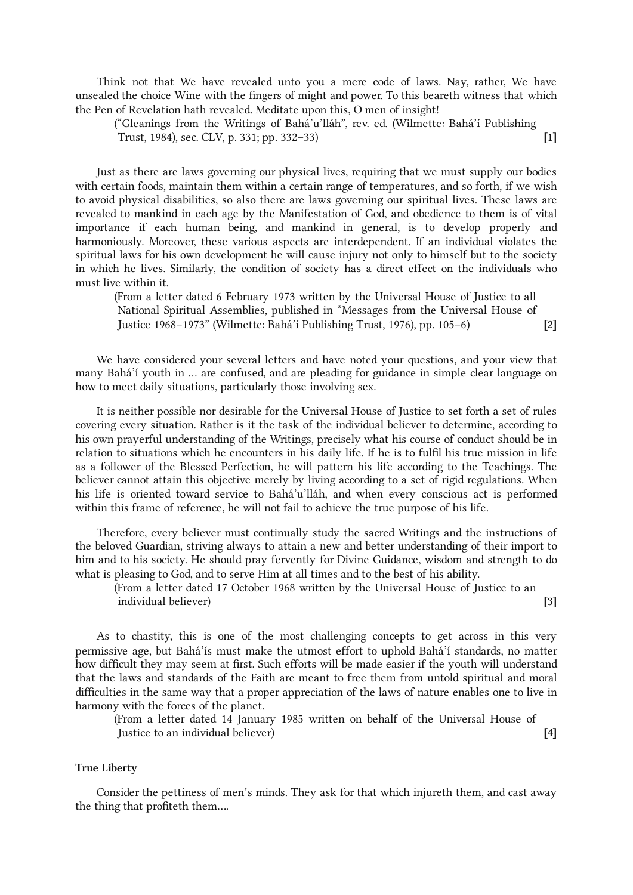Think not that We have revealed unto you a mere code of laws. Nay, rather, We have unsealed the choice Wine with the fingers of might and power. To this beareth witness that which the Pen of Revelation hath revealed. Meditate upon this, O men of insight!

("Gleanings from the Writings of Bahá'u'lláh", rev. ed. (Wilmette: Bahá'í Publishing Trust, 1984), sec. CLV, p. 331; pp. 332–33) [1]

Just as there are laws governing our physical lives, requiring that we must supply our bodies with certain foods, maintain them within a certain range of temperatures, and so forth, if we wish to avoid physical disabilities, so also there are laws governing our spiritual lives. These laws are revealed to mankind in each age by the Manifestation of God, and obedience to them is of vital importance if each human being, and mankind in general, is to develop properly and harmoniously. Moreover, these various aspects are interdependent. If an individual violates the spiritual laws for his own development he will cause injury not only to himself but to the society in which he lives. Similarly, the condition of society has a direct effect on the individuals who must live within it.

(From a letter dated 6 February 1973 written by the Universal House of Justice to all National Spiritual Assemblies, published in "Messages from the Universal House of Justice 1968–1973" (Wilmette: Bahá'í Publishing Trust, 1976), pp. 105–6) [2]

We have considered your several letters and have noted your questions, and your view that many Bahá'í youth in ... are confused, and are pleading for guidance in simple clear language on how to meet daily situations, particularly those involving sex.

It is neither possible nor desirable for the Universal House of Justice to set forth a set of rules covering every situation. Rather is it the task of the individual believer to determine, according to his own prayerful understanding of the Writings, precisely what his course of conduct should be in relation to situations which he encounters in his daily life. If he is to fulfil his true mission in life as a follower of the Blessed Perfection, he will pattern his life according to the Teachings. The believer cannot attain this objective merely by living according to a set of rigid regulations. When his life is oriented toward service to Bahá'u'lláh, and when every conscious act is performed within this frame of reference, he will not fail to achieve the true purpose of his life.

Therefore, every believer must continually study the sacred Writings and the instructions of the beloved Guardian, striving always to attain a new and better understanding of their import to him and to his society. He should pray fervently for Divine Guidance, wisdom and strength to do what is pleasing to God, and to serve Him at all times and to the best of his ability.

(From a letter dated 17 October 1968 written by the Universal House of Justice to an individual believer) [3]

As to chastity, this is one of the most challenging concepts to get across in this very

permissive age, but Bahá'ís must make the utmost effort to uphold Bahá'í standards, no matter how difficult they may seem at first. Such efforts will be made easier if the youth will understand that the laws and standards of the Faith are meant to free them from untold spiritual and moral difficulties in the same way that a proper appreciation of the laws of nature enables one to live in harmony with the forces of the planet.

(From a letter dated 14 January 1985 written on behalf of the Universal House of Justice to an individual believer) [4]

#### True Liberty

Consider the pettiness of men's minds. They ask for that which injureth them, and cast away the thing that profiteth them....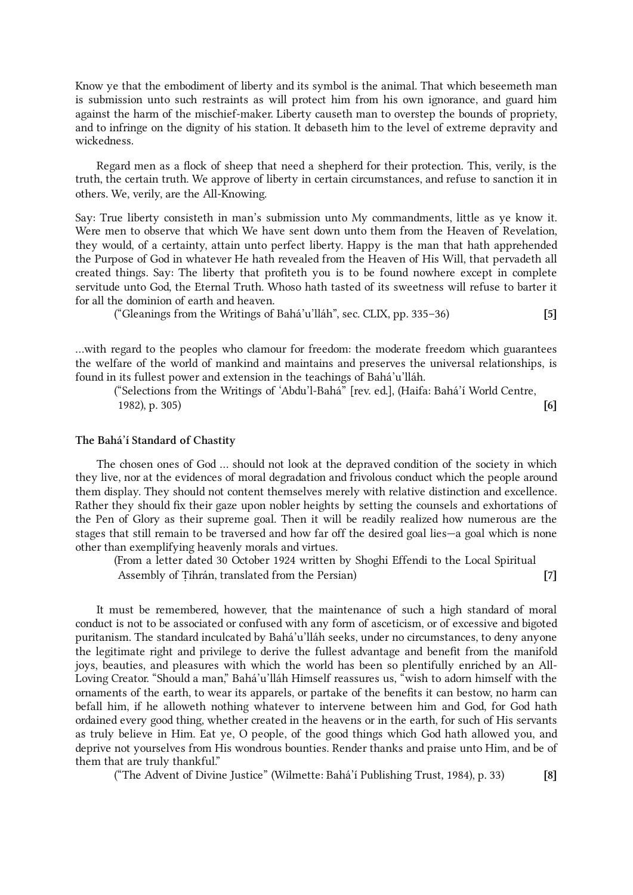Know ye that the embodiment of liberty and its symbol is the animal. That which beseemeth man is submission unto such restraints as will protect him from his own ignorance, and guard him against the harm of the mischief-maker. Liberty causeth man to overstep the bounds of propriety, and to infringe on the dignity of his station. It debaseth him to the level of extreme depravity and wickedness.

Regard men as a flock of sheep that need a shepherd for their protection. This, verily, is the truth, the certain truth. We approve of liberty in certain circumstances, and refuse to sanction it in others. We, verily, are the All-Knowing.

Say: True liberty consisteth in man's submission unto My commandments, little as ye know it. Were men to observe that which We have sent down unto them from the Heaven of Revelation, they would, of a certainty, attain unto perfect liberty. Happy is the man that hath apprehended the Purpose of God in whatever He hath revealed from the Heaven of His Will, that pervadeth all created things. Say: The liberty that profiteth you is to be found nowhere except in complete servitude unto God, the Eternal Truth. Whoso hath tasted of its sweetness will refuse to barter it for all the dominion of earth and heaven.

("Gleanings from the Writings of Bahá'u'lláh", sec. CLIX, pp. 335–36) [5]

...with regard to the peoples who clamour for freedom: the moderate freedom which guarantees the welfare of the world of mankind and maintains and preserves the universal relationships, is found in its fullest power and extension in the teachings of Bahá'u'lláh.

("Selections from the Writings of 'Abdu'l-Bahá" [rev. ed.], (Haifa: Bahá'í World Centre, 1982), p. 305) [6]

#### The Bahá'í Standard of Chastity

The chosen ones of God ... should not look at the depraved condition of the society in which they live, nor at the evidences of moral degradation and frivolous conduct which the people around them display. They should not content themselves merely with relative distinction and excellence. Rather they should fix their gaze upon nobler heights by setting the counsels and exhortations of the Pen of Glory as their supreme goal. Then it will be readily realized how numerous are the stages that still remain to be traversed and how far off the desired goal lies—a goal which is none other than exemplifying heavenly morals and virtues.

(From a letter dated 30 October 1924 written by Shoghi Effendi to the Local Spiritual Assembly of Tihrán, translated from the Persian) [7]

It must be remembered, however, that the maintenance of such a high standard of moral conduct is not to be associated or confused with any form of asceticism, or of excessive and bigoted puritanism. The standard inculcated by Bahá'u'lláh seeks, under no circumstances, to deny anyone the legitimate right and privilege to derive the fullest advantage and benefit from the manifold joys, beauties, and pleasures with which the world has been so plentifully enriched by an All-Loving Creator. "Should a man," Bahá'u'lláh Himself reassures us, "wish to adorn himself with the ornaments of the earth, to wear its apparels, or partake of the benefits it can bestow, no harm can befall him, if he alloweth nothing whatever to intervene between him and God, for God hath ordained every good thing, whether created in the heavens or in the earth, for such of His servants as truly believe in Him. Eat ye, O people, of the good things which God hath allowed you, and deprive not yourselves from His wondrous bounties. Render thanks and praise unto Him, and be of them that are truly thankful."

("The Advent of Divine Justice" (Wilmette: Bahá'í Publishing Trust, 1984), p. 33) [8]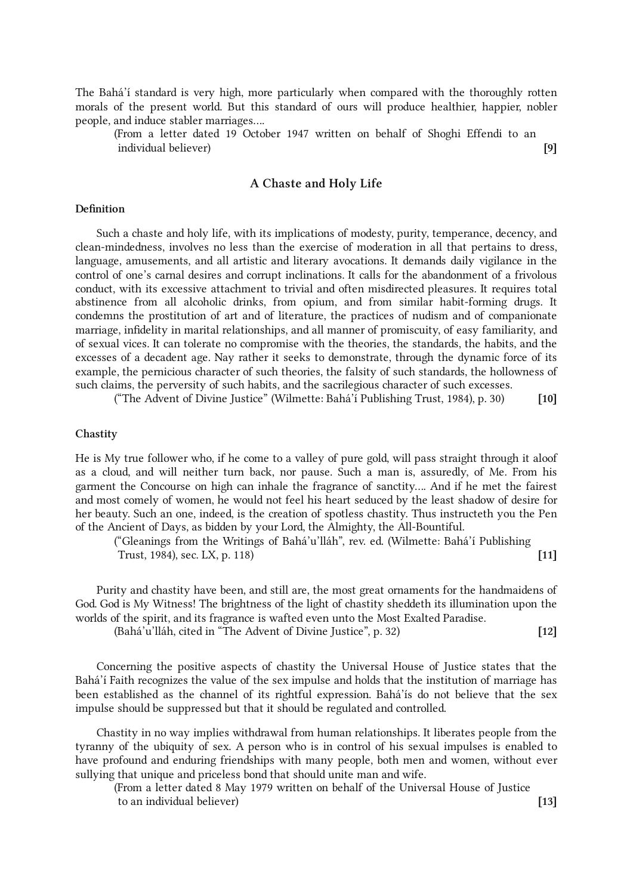The Bahá'í standard is very high, more particularly when compared with the thoroughly rotten morals of the present world. But this standard of ours will produce healthier, happier, nobler people, and induce stabler marriages....

(From a letter dated 19 October 1947 written on behalf of Shoghi Effendi to an individual believer) [9]

#### <span id="page-3-0"></span>A Chaste and Holy Life

#### Definition

Such a chaste and holy life, with its implications of modesty, purity, temperance, decency, and clean-mindedness, involves no less than the exercise of moderation in all that pertains to dress, language, amusements, and all artistic and literary avocations. It demands daily vigilance in the control of one's carnal desires and corrupt inclinations. It calls for the abandonment of a frivolous conduct, with its excessive attachment to trivial and often misdirected pleasures. It requires total abstinence from all alcoholic drinks, from opium, and from similar habit-forming drugs. It condemns the prostitution of art and of literature, the practices of nudism and of companionate marriage, infidelity in marital relationships, and all manner of promiscuity, of easy familiarity, and of sexual vices. It can tolerate no compromise with the theories, the standards, the habits, and the excesses of a decadent age. Nay rather it seeks to demonstrate, through the dynamic force of its example, the pernicious character of such theories, the falsity of such standards, the hollowness of such claims, the perversity of such habits, and the sacrilegious character of such excesses.

("The Advent of Divine Justice" (Wilmette: Bahá'í Publishing Trust, 1984), p. 30) [10]

#### **Chastity**

He is My true follower who, if he come to a valley of pure gold, will pass straight through it aloof as a cloud, and will neither turn back, nor pause. Such a man is, assuredly, of Me. From his garment the Concourse on high can inhale the fragrance of sanctity.... And if he met the fairest and most comely of women, he would not feel his heart seduced by the least shadow of desire for her beauty. Such an one, indeed, is the creation of spotless chastity. Thus instructeth you the Pen of the Ancient of Days, as bidden by your Lord, the Almighty, the All-Bountiful.

("Gleanings from the Writings of Bahá'u'lláh", rev. ed. (Wilmette: Bahá'í Publishing Trust, 1984), sec. LX, p. 118) [11]

Purity and chastity have been, and still are, the most great ornaments for the handmaidens of God. God is My Witness! The brightness of the light of chastity sheddeth its illumination upon the worlds of the spirit, and its fragrance is wafted even unto the Most Exalted Paradise.

(Bahá'u'lláh, cited in "The Advent of Divine Justice", p. 32) [12]

Concerning the positive aspects of chastity the Universal House of Justice states that the Bahá'í Faith recognizes the value of the sex impulse and holds that the institution of marriage has been established as the channel of its rightful expression. Bahá'ís do not believe that the sex impulse should be suppressed but that it should be regulated and controlled.

Chastity in no way implies withdrawal from human relationships. It liberates people from the tyranny of the ubiquity of sex. A person who is in control of his sexual impulses is enabled to have profound and enduring friendships with many people, both men and women, without ever sullying that unique and priceless bond that should unite man and wife.

(From a letter dated 8 May 1979 written on behalf of the Universal House of Justice to an individual believer) [13]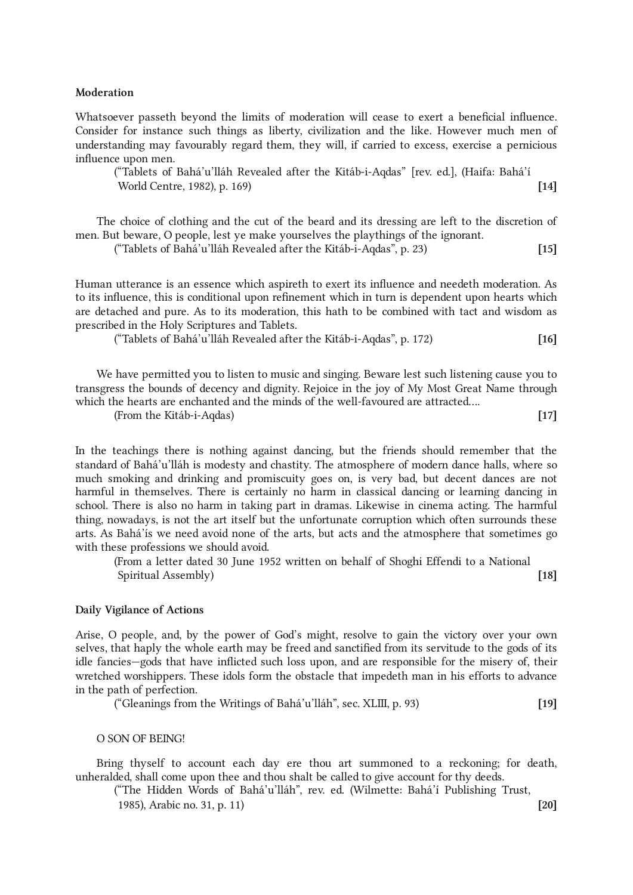#### Moderation

Whatsoever passeth beyond the limits of moderation will cease to exert a beneficial influence. Consider for instance such things as liberty, civilization and the like. However much men of understanding may favourably regard them, they will, if carried to excess, exercise a pernicious influence upon men.

("Tablets of Bahá'u'lláh Revealed after the Kitáb-i-Aqdas" [rev. ed.], (Haifa: Bahá'í World Centre, 1982), p. 169) [14]

The choice of clothing and the cut of the beard and its dressing are left to the discretion of men. But beware, O people, lest ye make yourselves the playthings of the ignorant.

("Tablets of Bahá'u'lláh Revealed after the Kitáb-i-Aqdas", p. 23) [15]

Human utterance is an essence which aspireth to exert its influence and needeth moderation. As to its influence, this is conditional upon refinement which in turn is dependent upon hearts which are detached and pure. As to its moderation, this hath to be combined with tact and wisdom as prescribed in the Holy Scriptures and Tablets.

("Tablets of Bahá'u'lláh Revealed after the Kitáb-i-Aqdas", p. 172) [16]

We have permitted you to listen to music and singing. Beware lest such listening cause you to transgress the bounds of decency and dignity. Rejoice in the joy of My Most Great Name through which the hearts are enchanted and the minds of the well-favoured are attracted....

(From the Kitáb-i-Aqdas) [17]

In the teachings there is nothing against dancing, but the friends should remember that the standard of Bahá'u'lláh is modesty and chastity. The atmosphere of modern dance halls, where so much smoking and drinking and promiscuity goes on, is very bad, but decent dances are not harmful in themselves. There is certainly no harm in classical dancing or learning dancing in school. There is also no harm in taking part in dramas. Likewise in cinema acting. The harmful thing, nowadays, is not the art itself but the unfortunate corruption which often surrounds these arts. As Bahá'ís we need avoid none of the arts, but acts and the atmosphere that sometimes go with these professions we should avoid.

(From a letter dated 30 June 1952 written on behalf of Shoghi Effendi to a National Spiritual Assembly) [18]

# Daily Vigilance of Actions

Arise, O people, and, by the power of God's might, resolve to gain the victory over your own selves, that haply the whole earth may be freed and sanctified from its servitude to the gods of its idle fancies—gods that have inflicted such loss upon, and are responsible for the misery of, their wretched worshippers. These idols form the obstacle that impedeth man in his efforts to advance in the path of perfection.

("Gleanings from the Writings of Bahá'u'lláh", sec. XLIII, p. 93) [19]

# O SON OF BEING!

Bring thyself to account each day ere thou art summoned to a reckoning; for death, unheralded, shall come upon thee and thou shalt be called to give account for thy deeds.

("The Hidden Words of Bahá'u'lláh", rev. ed. (Wilmette: Bahá'í Publishing Trust,

1985), Arabic no. 31, p. 11) [20]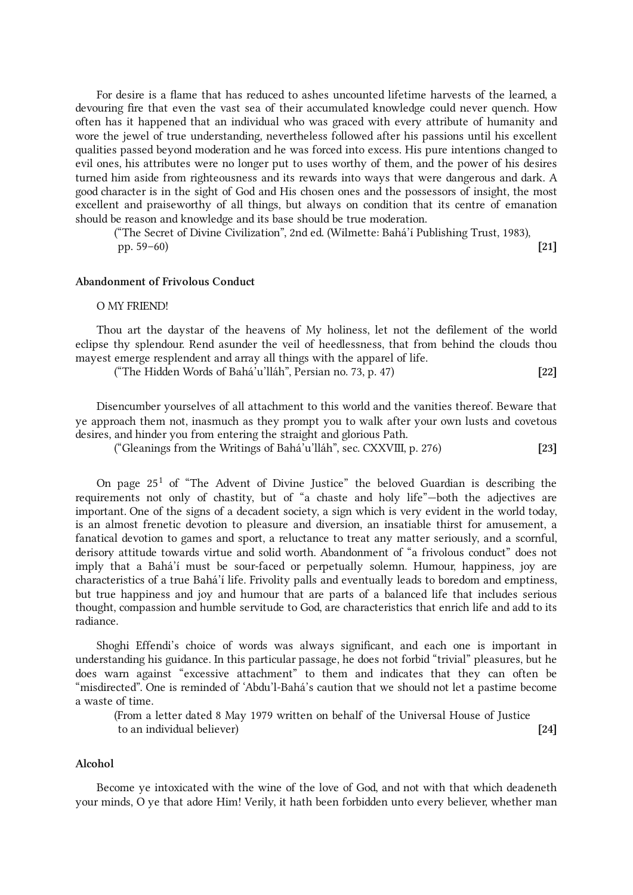For desire is a flame that has reduced to ashes uncounted lifetime harvests of the learned, a devouring fire that even the vast sea of their accumulated knowledge could never quench. How often has it happened that an individual who was graced with every attribute of humanity and wore the jewel of true understanding, nevertheless followed after his passions until his excellent qualities passed beyond moderation and he was forced into excess. His pure intentions changed to evil ones, his attributes were no longer put to uses worthy of them, and the power of his desires turned him aside from righteousness and its rewards into ways that were dangerous and dark. A good character is in the sight of God and His chosen ones and the possessors of insight, the most excellent and praiseworthy of all things, but always on condition that its centre of emanation should be reason and knowledge and its base should be true moderation.

("The Secret of Divine Civilization", 2nd ed. (Wilmette: Bahá'í Publishing Trust, 1983), pp.  $59-60$ ) [21]

#### Abandonment of Frivolous Conduct

#### O MY FRIEND!

Thou art the daystar of the heavens of My holiness, let not the defilement of the world eclipse thy splendour. Rend asunder the veil of heedlessness, that from behind the clouds thou mayest emerge resplendent and array all things with the apparel of life.

("The Hidden Words of Bahá'u'lláh", Persian no. 73, p. 47) [22]

Disencumber yourselves of all attachment to this world and the vanities thereof. Beware that ye approach them not, inasmuch as they prompt you to walk after your own lusts and covetous desires, and hinder you from entering the straight and glorious Path.

("Gleanings from the Writings of Bahá'u'lláh", sec. CXXVIII, p. 276) [23]

<span id="page-5-0"></span>On page 25 [1](#page-13-0) of "The Advent of Divine Justice" the beloved Guardian is describing the requirements not only of chastity, but of "a chaste and holy life"—both the adjectives are important. One of the signs of a decadent society, a sign which is very evident in the world today, is an almost frenetic devotion to pleasure and diversion, an insatiable thirst for amusement, a fanatical devotion to games and sport, a reluctance to treat any matter seriously, and a scornful, derisory attitude towards virtue and solid worth. Abandonment of "a frivolous conduct" does not imply that a Bahá'í must be sour-faced or perpetually solemn. Humour, happiness, joy are characteristics of a true Bahá'í life. Frivolity palls and eventually leads to boredom and emptiness, but true happiness and joy and humour that are parts of a balanced life that includes serious thought, compassion and humble servitude to God, are characteristics that enrich life and add to its radiance.

Shoghi Effendi's choice of words was always significant, and each one is important in understanding his guidance. In this particular passage, he does not forbid "trivial" pleasures, but he does warn against "excessive attachment" to them and indicates that they can often be "misdirected". One is reminded of 'Abdu'l-Bahá's caution that we should not let a pastime become a waste of time.

(From a letter dated 8 May 1979 written on behalf of the Universal House of Justice to an individual believer) [24]

#### Alcohol

Become ye intoxicated with the wine of the love of God, and not with that which deadeneth your minds, O ye that adore Him! Verily, it hath been forbidden unto every believer, whether man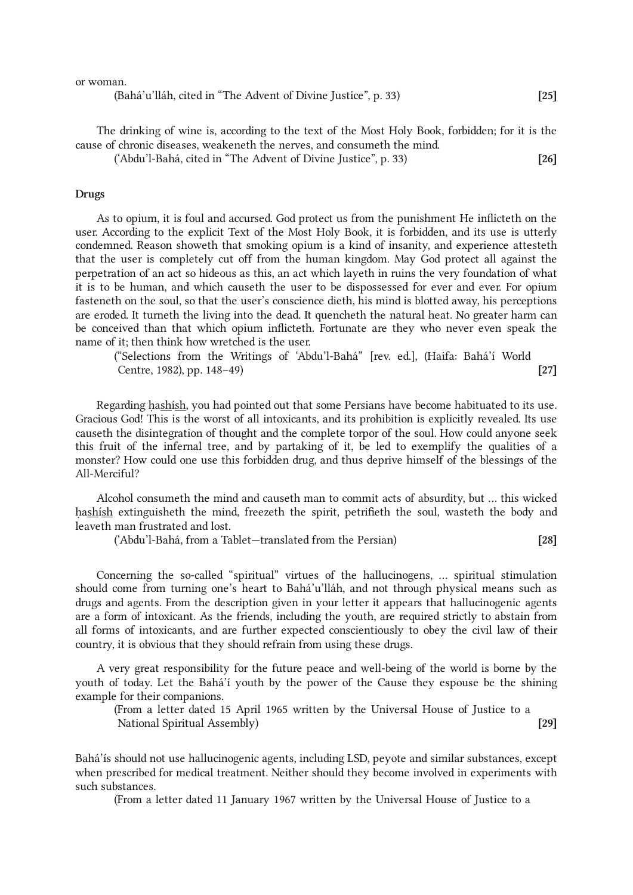or woman.

(Bahá'u'lláh, cited in "The Advent of Divine Justice", p. 33) [25]

The drinking of wine is, according to the text of the Most Holy Book, forbidden; for it is the cause of chronic diseases, weakeneth the nerves, and consumeth the mind.

('Abdu'l-Bahá, cited in "The Advent of Divine Justice", p. 33) [26]

#### Drugs

As to opium, it is foul and accursed. God protect us from the punishment He inflicteth on the user. According to the explicit Text of the Most Holy Book, it is forbidden, and its use is utterly condemned. Reason showeth that smoking opium is a kind of insanity, and experience attesteth that the user is completely cut off from the human kingdom. May God protect all against the perpetration of an act so hideous as this, an act which layeth in ruins the very foundation of what it is to be human, and which causeth the user to be dispossessed for ever and ever. For opium fasteneth on the soul, so that the user's conscience dieth, his mind is blotted away, his perceptions are eroded. It turneth the living into the dead. It quencheth the natural heat. No greater harm can be conceived than that which opium inflicteth. Fortunate are they who never even speak the name of it; then think how wretched is the user.

("Selections from the Writings of 'Abdu'l-Bahá" [rev. ed.], (Haifa: Bahá'í World Centre, 1982), pp. 148–49) [27]

Regarding hashish, you had pointed out that some Persians have become habituated to its use. Gracious God! This is the worst of all intoxicants, and its prohibition is explicitly revealed. Its use causeth the disintegration of thought and the complete torpor of the soul. How could anyone seek this fruit of the infernal tree, and by partaking of it, be led to exemplify the qualities of a monster? How could one use this forbidden drug, and thus deprive himself of the blessings of the All-Merciful?

Alcohol consumeth the mind and causeth man to commit acts of absurdity, but ... this wicked hashish extinguisheth the mind, freezeth the spirit, petrifieth the soul, wasteth the body and leaveth man frustrated and lost.

('Abdu'l-Bahá, from a Tablet—translated from the Persian) [28]

Concerning the so-called "spiritual" virtues of the hallucinogens, ... spiritual stimulation should come from turning one's heart to Bahá'u'lláh, and not through physical means such as drugs and agents. From the description given in your letter it appears that hallucinogenic agents are a form of intoxicant. As the friends, including the youth, are required strictly to abstain from all forms of intoxicants, and are further expected conscientiously to obey the civil law of their country, it is obvious that they should refrain from using these drugs.

A very great responsibility for the future peace and well-being of the world is borne by the youth of today. Let the Bahá'í youth by the power of the Cause they espouse be the shining example for their companions.

(From a letter dated 15 April 1965 written by the Universal House of Justice to a National Spiritual Assembly) [29] [29]

Bahá'ís should not use hallucinogenic agents, including LSD, peyote and similar substances, except when prescribed for medical treatment. Neither should they become involved in experiments with such substances.

(From a letter dated 11 January 1967 written by the Universal House of Justice to a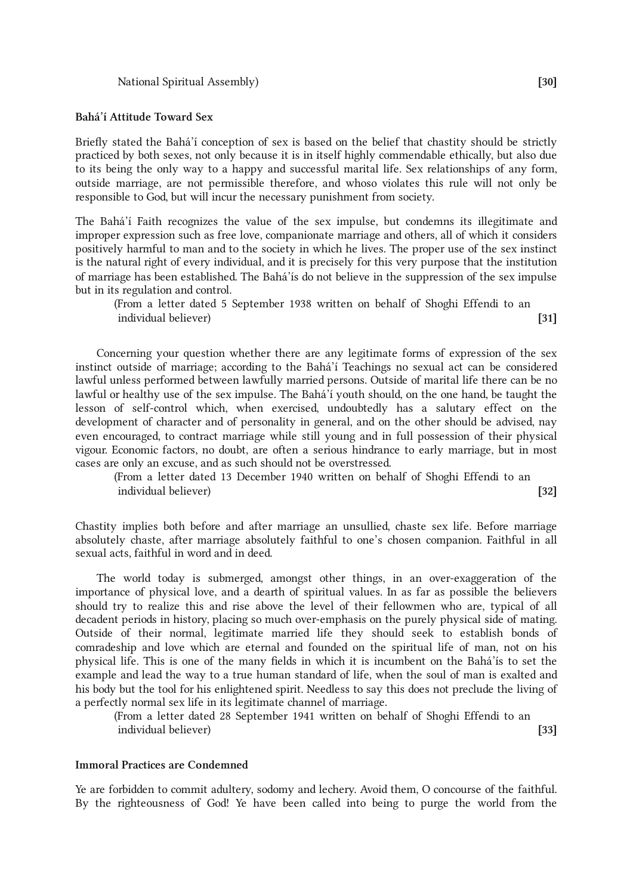#### National Spiritual Assembly) [30]

# Bahá'í Attitude Toward Sex

Briefly stated the Bahá'í conception of sex is based on the belief that chastity should be strictly practiced by both sexes, not only because it is in itself highly commendable ethically, but also due to its being the only way to a happy and successful marital life. Sex relationships of any form, outside marriage, are not permissible therefore, and whoso violates this rule will not only be responsible to God, but will incur the necessary punishment from society.

The Bahá'í Faith recognizes the value of the sex impulse, but condemns its illegitimate and improper expression such as free love, companionate marriage and others, all of which it considers positively harmful to man and to the society in which he lives. The proper use of the sex instinct is the natural right of every individual, and it is precisely for this very purpose that the institution of marriage has been established. The Bahá'ís do not believe in the suppression of the sex impulse but in its regulation and control.

(From a letter dated 5 September 1938 written on behalf of Shoghi Effendi to an individual believer) [31]

Concerning your question whether there are any legitimate forms of expression of the sex instinct outside of marriage; according to the Bahá'í Teachings no sexual act can be considered lawful unless performed between lawfully married persons. Outside of marital life there can be no lawful or healthy use of the sex impulse. The Bahá'í youth should, on the one hand, be taught the lesson of self-control which, when exercised, undoubtedly has a salutary effect on the development of character and of personality in general, and on the other should be advised, nay even encouraged, to contract marriage while still young and in full possession of their physical vigour. Economic factors, no doubt, are often a serious hindrance to early marriage, but in most cases are only an excuse, and as such should not be overstressed.

(From a letter dated 13 December 1940 written on behalf of Shoghi Effendi to an individual believer) [32]

Chastity implies both before and after marriage an unsullied, chaste sex life. Before marriage absolutely chaste, after marriage absolutely faithful to one's chosen companion. Faithful in all sexual acts, faithful in word and in deed.

The world today is submerged, amongst other things, in an over-exaggeration of the importance of physical love, and a dearth of spiritual values. In as far as possible the believers should try to realize this and rise above the level of their fellowmen who are, typical of all decadent periods in history, placing so much over-emphasis on the purely physical side of mating. Outside of their normal, legitimate married life they should seek to establish bonds of comradeship and love which are eternal and founded on the spiritual life of man, not on his physical life. This is one of the many fields in which it is incumbent on the Bahá'ís to set the example and lead the way to a true human standard of life, when the soul of man is exalted and his body but the tool for his enlightened spirit. Needless to say this does not preclude the living of a perfectly normal sex life in its legitimate channel of marriage.

(From a letter dated 28 September 1941 written on behalf of Shoghi Effendi to an individual believer) and the contract of the contract of the contract of the contract of the contract of the contract of the contract of the contract of the contract of the contract of the contract of the contract of the c

## Immoral Practices are Condemned

Ye are forbidden to commit adultery, sodomy and lechery. Avoid them, O concourse of the faithful. By the righteousness of God! Ye have been called into being to purge the world from the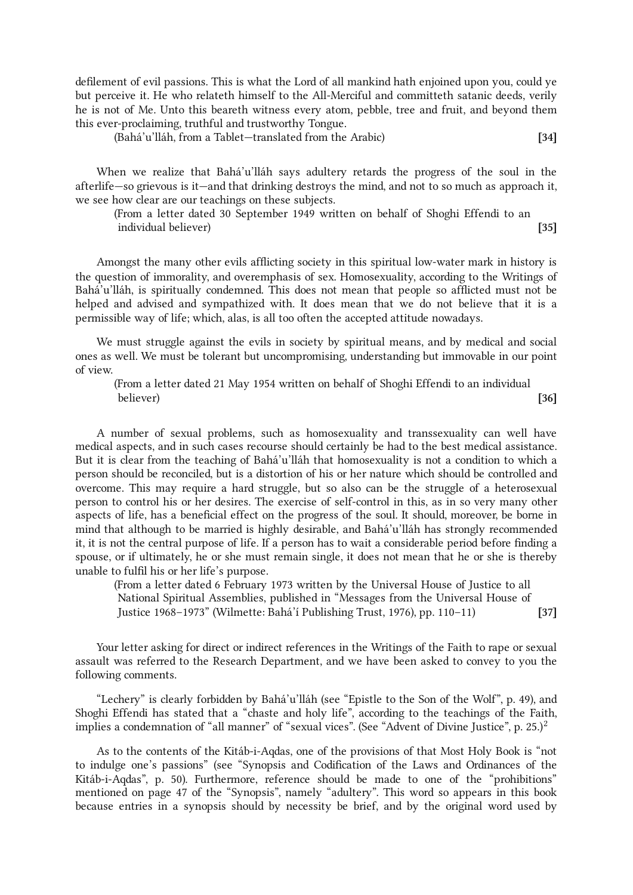defilement of evil passions. This is what the Lord of all mankind hath enjoined upon you, could ye but perceive it. He who relateth himself to the All-Merciful and committeth satanic deeds, verily he is not of Me. Unto this beareth witness every atom, pebble, tree and fruit, and beyond them this ever-proclaiming, truthful and trustworthy Tongue.

(Bahá'u'lláh, from a Tablet—translated from the Arabic) [34]

When we realize that Bahá'u'lláh says adultery retards the progress of the soul in the afterlife—so grievous is it—and that drinking destroys the mind, and not to so much as approach it, we see how clear are our teachings on these subjects.

(From a letter dated 30 September 1949 written on behalf of Shoghi Effendi to an individual believer) [35]

Amongst the many other evils afflicting society in this spiritual low-water mark in history is the question of immorality, and overemphasis of sex. Homosexuality, according to the Writings of Bahá'u'lláh, is spiritually condemned. This does not mean that people so afflicted must not be helped and advised and sympathized with. It does mean that we do not believe that it is a permissible way of life; which, alas, is all too often the accepted attitude nowadays.

We must struggle against the evils in society by spiritual means, and by medical and social ones as well. We must be tolerant but uncompromising, understanding but immovable in our point of view.

(From a letter dated 21 May 1954 written on behalf of Shoghi Effendi to an individual believer) [36]

A number of sexual problems, such as homosexuality and transsexuality can well have medical aspects, and in such cases recourse should certainly be had to the best medical assistance. But it is clear from the teaching of Bahá'u'lláh that homosexuality is not a condition to which a person should be reconciled, but is a distortion of his or her nature which should be controlled and overcome. This may require a hard struggle, but so also can be the struggle of a heterosexual person to control his or her desires. The exercise of self-control in this, as in so very many other aspects of life, has a beneficial effect on the progress of the soul. It should, moreover, be borne in mind that although to be married is highly desirable, and Bahá'u'lláh has strongly recommended it, it is not the central purpose of life. If a person has to wait a considerable period before finding a spouse, or if ultimately, he or she must remain single, it does not mean that he or she is thereby unable to fulfil his or her life's purpose.

(From a letter dated 6 February 1973 written by the Universal House of Justice to all National Spiritual Assemblies, published in "Messages from the Universal House of Justice 1968–1973" (Wilmette: Bahá'í Publishing Trust, 1976), pp. 110–11) [37]

Your letter asking for direct or indirect references in the Writings of the Faith to rape or sexual assault was referred to the Research Department, and we have been asked to convey to you the following comments.

<span id="page-8-0"></span>"Lechery" is clearly forbidden by Bahá'u'lláh (see "Epistle to the Son of the Wolf", p. 49), and Shoghi Effendi has stated that a "chaste and holy life", according to the teachings of the Faith, implies a condemnation of "all manner" of "sexual vices". (See "Advent of Divine Justice", p. [2](#page-13-1)5.)<sup>2</sup>

As to the contents of the Kitáb-i-Aqdas, one of the provisions of that Most Holy Book is "not to indulge one's passions" (see "Synopsis and Codification of the Laws and Ordinances of the Kitáb-i-Aqdas", p. 50). Furthermore, reference should be made to one of the "prohibitions" mentioned on page 47 of the "Synopsis", namely "adultery". This word so appears in this book because entries in a synopsis should by necessity be brief, and by the original word used by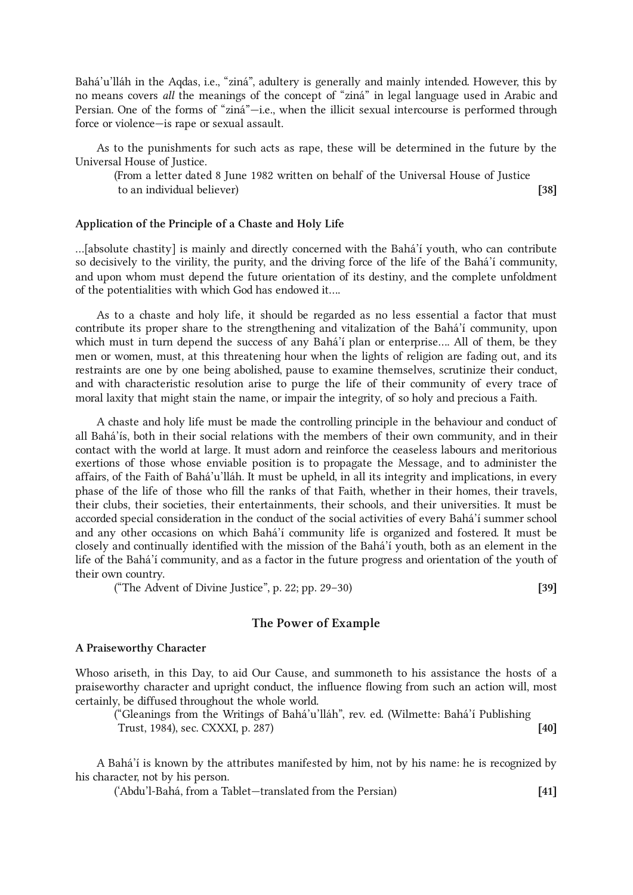Bahá'u'lláh in the Aqdas, i.e., "ziná", adultery is generally and mainly intended. However, this by no means covers all the meanings of the concept of "ziná" in legal language used in Arabic and Persian. One of the forms of "ziná"—i.e., when the illicit sexual intercourse is performed through force or violence—is rape or sexual assault.

As to the punishments for such acts as rape, these will be determined in the future by the Universal House of Justice.

(From a letter dated 8 June 1982 written on behalf of the Universal House of Justice to an individual believer) [38]

#### Application of the Principle of a Chaste and Holy Life

...[absolute chastity] is mainly and directly concerned with the Bahá'í youth, who can contribute so decisively to the virility, the purity, and the driving force of the life of the Bahá'í community, and upon whom must depend the future orientation of its destiny, and the complete unfoldment of the potentialities with which God has endowed it....

As to a chaste and holy life, it should be regarded as no less essential a factor that must contribute its proper share to the strengthening and vitalization of the Bahá'í community, upon which must in turn depend the success of any Bahá'í plan or enterprise.... All of them, be they men or women, must, at this threatening hour when the lights of religion are fading out, and its restraints are one by one being abolished, pause to examine themselves, scrutinize their conduct, and with characteristic resolution arise to purge the life of their community of every trace of moral laxity that might stain the name, or impair the integrity, of so holy and precious a Faith.

A chaste and holy life must be made the controlling principle in the behaviour and conduct of all Bahá'ís, both in their social relations with the members of their own community, and in their contact with the world at large. It must adorn and reinforce the ceaseless labours and meritorious exertions of those whose enviable position is to propagate the Message, and to administer the affairs, of the Faith of Bahá'u'lláh. It must be upheld, in all its integrity and implications, in every phase of the life of those who fill the ranks of that Faith, whether in their homes, their travels, their clubs, their societies, their entertainments, their schools, and their universities. It must be accorded special consideration in the conduct of the social activities of every Bahá'í summer school and any other occasions on which Bahá'í community life is organized and fostered. It must be closely and continually identified with the mission of the Bahá'í youth, both as an element in the life of the Bahá'í community, and as a factor in the future progress and orientation of the youth of their own country.

("The Advent of Divine Justice", p. 22; pp. 29–30)  $[39]$ 

## <span id="page-9-0"></span>The Power of Example

#### A Praiseworthy Character

Whoso ariseth, in this Day, to aid Our Cause, and summoneth to his assistance the hosts of a praiseworthy character and upright conduct, the influence flowing from such an action will, most certainly, be diffused throughout the whole world.

("Gleanings from the Writings of Bahá'u'lláh", rev. ed. (Wilmette: Bahá'í Publishing Trust, 1984), sec. CXXXI, p. 287) [40]

A Bahá'í is known by the attributes manifested by him, not by his name: he is recognized by his character, not by his person.

('Abdu'l-Bahá, from a Tablet—translated from the Persian) [41]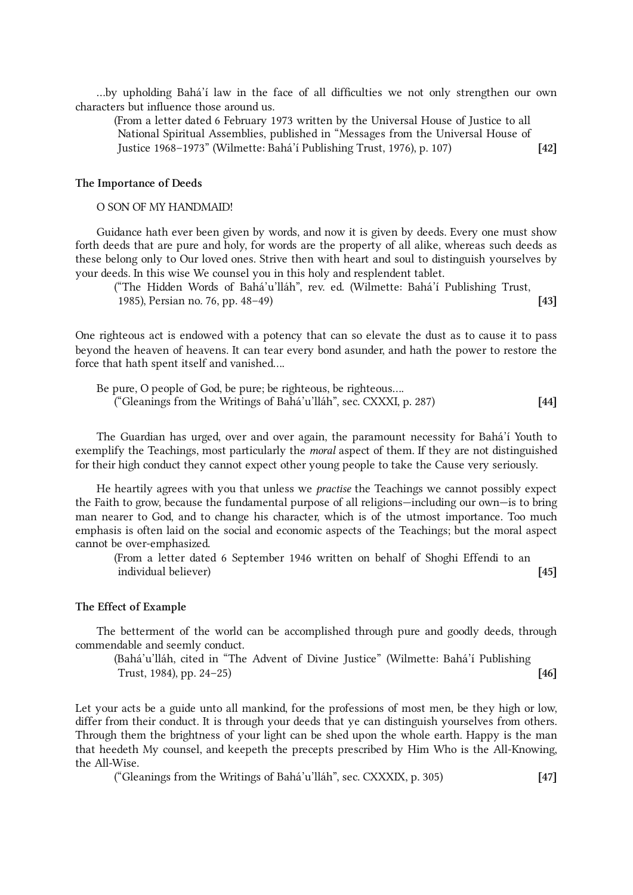...by upholding Bahá'í law in the face of all difficulties we not only strengthen our own characters but influence those around us.

(From a letter dated 6 February 1973 written by the Universal House of Justice to all National Spiritual Assemblies, published in "Messages from the Universal House of Justice 1968–1973" (Wilmette: Bahá'í Publishing Trust, 1976), p. 107) [42]

#### The Importance of Deeds

O SON OF MY HANDMAID!

Guidance hath ever been given by words, and now it is given by deeds. Every one must show forth deeds that are pure and holy, for words are the property of all alike, whereas such deeds as these belong only to Our loved ones. Strive then with heart and soul to distinguish yourselves by your deeds. In this wise We counsel you in this holy and resplendent tablet.

("The Hidden Words of Bahá'u'lláh", rev. ed. (Wilmette: Bahá'í Publishing Trust, 1985), Persian no. 76, pp. 48–49) [43]

One righteous act is endowed with a potency that can so elevate the dust as to cause it to pass beyond the heaven of heavens. It can tear every bond asunder, and hath the power to restore the force that hath spent itself and vanished....

Be pure, O people of God, be pure; be righteous, be righteous.... ("Gleanings from the Writings of Bahá'u'lláh", sec. CXXXI, p. 287) [44]

The Guardian has urged, over and over again, the paramount necessity for Bahá'í Youth to exemplify the Teachings, most particularly the moral aspect of them. If they are not distinguished for their high conduct they cannot expect other young people to take the Cause very seriously.

He heartily agrees with you that unless we practise the Teachings we cannot possibly expect the Faith to grow, because the fundamental purpose of all religions—including our own—is to bring man nearer to God, and to change his character, which is of the utmost importance. Too much emphasis is often laid on the social and economic aspects of the Teachings; but the moral aspect cannot be over-emphasized.

(From a letter dated 6 September 1946 written on behalf of Shoghi Effendi to an individual believer) [45]

#### The Effect of Example

The betterment of the world can be accomplished through pure and goodly deeds, through commendable and seemly conduct.

(Bahá'u'lláh, cited in "The Advent of Divine Justice" (Wilmette: Bahá'í Publishing Trust, 1984), pp. 24–25)  $[46]$ 

Let your acts be a guide unto all mankind, for the professions of most men, be they high or low, differ from their conduct. It is through your deeds that ye can distinguish yourselves from others. Through them the brightness of your light can be shed upon the whole earth. Happy is the man that heedeth My counsel, and keepeth the precepts prescribed by Him Who is the All-Knowing, the All-Wise.

("Gleanings from the Writings of Bahá'u'lláh", sec. CXXXIX, p. 305) [47]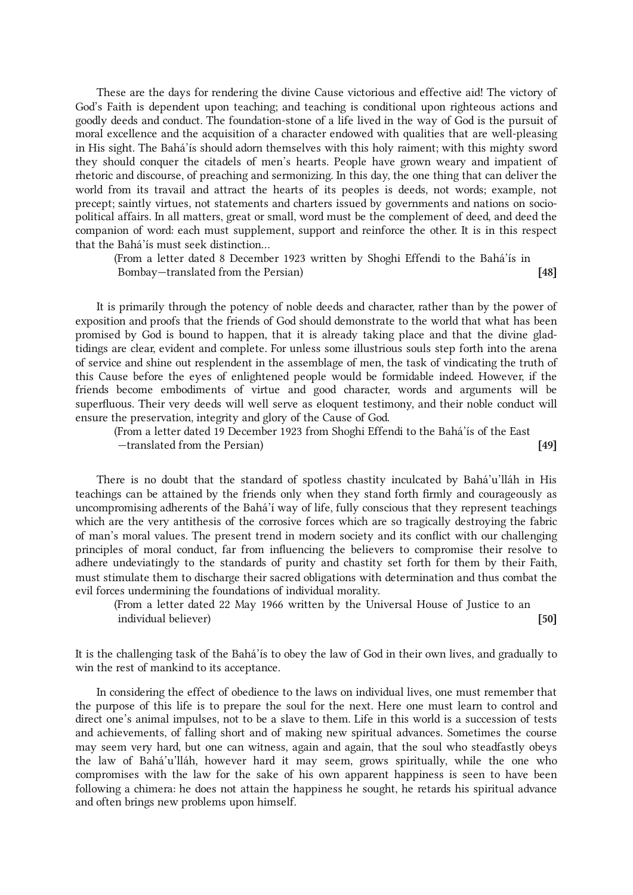These are the days for rendering the divine Cause victorious and effective aid! The victory of God's Faith is dependent upon teaching; and teaching is conditional upon righteous actions and goodly deeds and conduct. The foundation-stone of a life lived in the way of God is the pursuit of moral excellence and the acquisition of a character endowed with qualities that are well-pleasing in His sight. The Bahá'ís should adorn themselves with this holy raiment; with this mighty sword they should conquer the citadels of men's hearts. People have grown weary and impatient of rhetoric and discourse, of preaching and sermonizing. In this day, the one thing that can deliver the world from its travail and attract the hearts of its peoples is deeds, not words; example, not precept; saintly virtues, not statements and charters issued by governments and nations on sociopolitical affairs. In all matters, great or small, word must be the complement of deed, and deed the companion of word: each must supplement, support and reinforce the other. It is in this respect that the Bahá'ís must seek distinction...

(From a letter dated 8 December 1923 written by Shoghi Effendi to the Bahá'ís in Bombay—translated from the Persian) [48]

It is primarily through the potency of noble deeds and character, rather than by the power of exposition and proofs that the friends of God should demonstrate to the world that what has been promised by God is bound to happen, that it is already taking place and that the divine gladtidings are clear, evident and complete. For unless some illustrious souls step forth into the arena of service and shine out resplendent in the assemblage of men, the task of vindicating the truth of this Cause before the eyes of enlightened people would be formidable indeed. However, if the friends become embodiments of virtue and good character, words and arguments will be superfluous. Their very deeds will well serve as eloquent testimony, and their noble conduct will ensure the preservation, integrity and glory of the Cause of God.

(From a letter dated 19 December 1923 from Shoghi Effendi to the Bahá'ís of the East —translated from the Persian) [49]

There is no doubt that the standard of spotless chastity inculcated by Bahá'u'lláh in His teachings can be attained by the friends only when they stand forth firmly and courageously as uncompromising adherents of the Bahá'í way of life, fully conscious that they represent teachings which are the very antithesis of the corrosive forces which are so tragically destroying the fabric of man's moral values. The present trend in modern society and its conflict with our challenging principles of moral conduct, far from influencing the believers to compromise their resolve to adhere undeviatingly to the standards of purity and chastity set forth for them by their Faith, must stimulate them to discharge their sacred obligations with determination and thus combat the evil forces undermining the foundations of individual morality.

(From a letter dated 22 May 1966 written by the Universal House of Justice to an individual believer) [50]

It is the challenging task of the Bahá'ís to obey the law of God in their own lives, and gradually to win the rest of mankind to its acceptance.

In considering the effect of obedience to the laws on individual lives, one must remember that the purpose of this life is to prepare the soul for the next. Here one must learn to control and direct one's animal impulses, not to be a slave to them. Life in this world is a succession of tests and achievements, of falling short and of making new spiritual advances. Sometimes the course may seem very hard, but one can witness, again and again, that the soul who steadfastly obeys the law of Bahá'u'lláh, however hard it may seem, grows spiritually, while the one who compromises with the law for the sake of his own apparent happiness is seen to have been following a chimera: he does not attain the happiness he sought, he retards his spiritual advance and often brings new problems upon himself.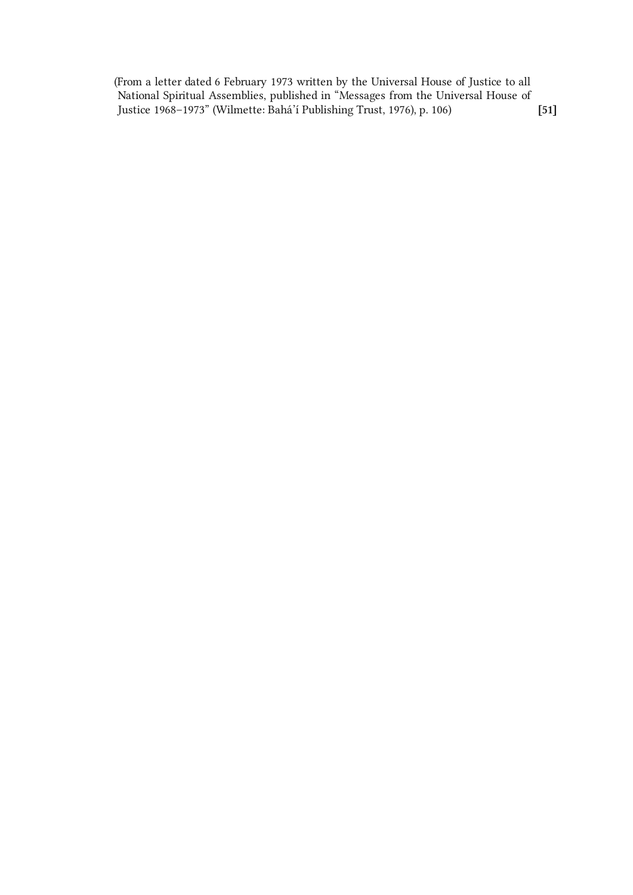(From a letter dated 6 February 1973 written by the Universal House of Justice to all National Spiritual Assemblies, published in "Messages from the Universal House of Justice 1968–1973" (Wilmette: Bahá'í Publishing Trust, 1976), p. 106) [51]